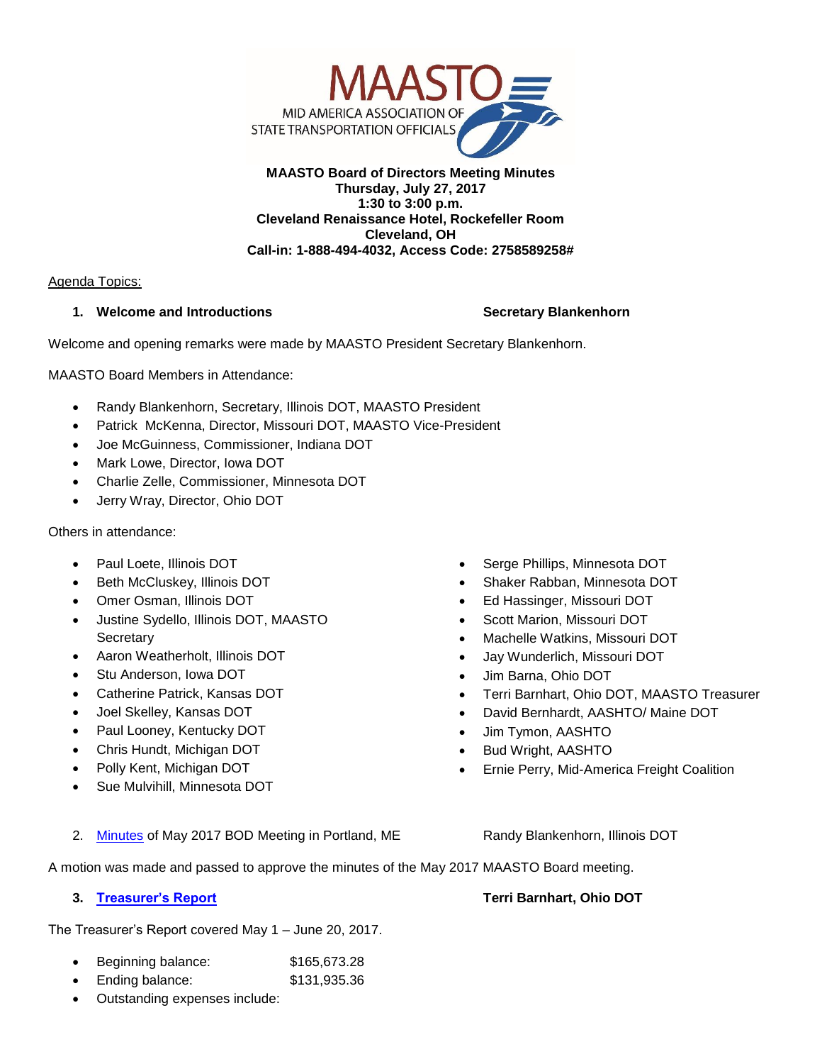

### **MAASTO Board of Directors Meeting Minutes Thursday, July 27, 2017 1:30 to 3:00 p.m. Cleveland Renaissance Hotel, Rockefeller Room Cleveland, OH Call-in: 1-888-494-4032, Access Code: 2758589258#**

### Agenda Topics:

## **1. Welcome and Introductions Secretary Blankenhorn** Secretary Blankenhorn

Welcome and opening remarks were made by MAASTO President Secretary Blankenhorn.

MAASTO Board Members in Attendance:

- Randy Blankenhorn, Secretary, Illinois DOT, MAASTO President
- Patrick McKenna, Director, Missouri DOT, MAASTO Vice-President
- Joe McGuinness, Commissioner, Indiana DOT
- Mark Lowe, Director, Iowa DOT
- Charlie Zelle, Commissioner, Minnesota DOT
- Jerry Wray, Director, Ohio DOT

### Others in attendance:

- Paul Loete, Illinois DOT
- Beth McCluskey, Illinois DOT
- Omer Osman, Illinois DOT
- Justine Sydello, Illinois DOT, MAASTO **Secretary**
- Aaron Weatherholt, Illinois DOT
- Stu Anderson, Iowa DOT
- Catherine Patrick, Kansas DOT
- Joel Skelley, Kansas DOT
- Paul Looney, Kentucky DOT
- Chris Hundt, Michigan DOT
- Polly Kent, Michigan DOT
- Sue Mulvihill, Minnesota DOT

Shaker Rabban, Minnesota DOT

Serge Phillips, Minnesota DOT

- 
- Scott Marion, Missouri DOT
- Machelle Watkins, Missouri DOT
- Jay Wunderlich, Missouri DOT
- Jim Barna, Ohio DOT
- Terri Barnhart, Ohio DOT, MAASTO Treasurer
- David Bernhardt, AASHTO/ Maine DOT
- Jim Tymon, AASHTO
- Bud Wright, AASHTO
- Ernie Perry, Mid-America Freight Coalition
- 2. [Minutes](http://maasto.net/documents/BODMeetingMinutes.pdf) of May 2017 BOD Meeting in Portland, ME Randy Blankenhorn, Illinois DOT

A motion was made and passed to approve the minutes of the May 2017 MAASTO Board meeting.

The Treasurer's Report covered May 1 – June 20, 2017.

- Beginning balance: \$165,673.28
- Ending balance: \$131,935.36
- Outstanding expenses include:

**3. [Treasurer's Report](http://maasto.net/documents/JulyTreasurerReport.pdf) Terri Barnhart, Ohio DOT**

Ed Hassinger, Missouri DOT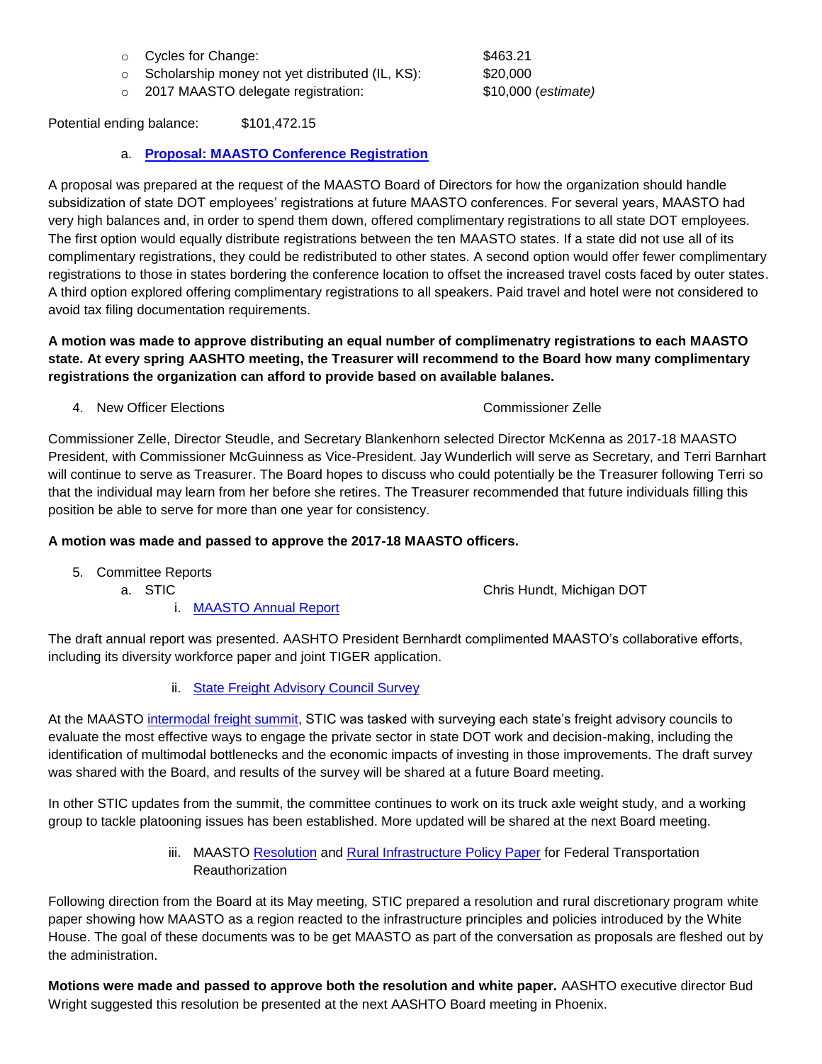- o Cycles for Change:  $$463.21$
- o Scholarship money not yet distributed (IL, KS): \$20,000
- o 2017 MAASTO delegate registration: \$10,000 (*estimate)*

Potential ending balance: \$101,472.15

# a. **[Proposal: MAASTO Conference Registration](http://maasto.net/documents/MAASTOConferenceRegistration.pdf)**

A proposal was prepared at the request of the MAASTO Board of Directors for how the organization should handle subsidization of state DOT employees' registrations at future MAASTO conferences. For several years, MAASTO had very high balances and, in order to spend them down, offered complimentary registrations to all state DOT employees. The first option would equally distribute registrations between the ten MAASTO states. If a state did not use all of its complimentary registrations, they could be redistributed to other states. A second option would offer fewer complimentary registrations to those in states bordering the conference location to offset the increased travel costs faced by outer states. A third option explored offering complimentary registrations to all speakers. Paid travel and hotel were not considered to avoid tax filing documentation requirements.

**A motion was made to approve distributing an equal number of complimenatry registrations to each MAASTO state. At every spring AASHTO meeting, the Treasurer will recommend to the Board how many complimentary registrations the organization can afford to provide based on available balanes.** 

4. New Officer Elections Commissioner Zelle

Commissioner Zelle, Director Steudle, and Secretary Blankenhorn selected Director McKenna as 2017-18 MAASTO President, with Commissioner McGuinness as Vice-President. Jay Wunderlich will serve as Secretary, and Terri Barnhart will continue to serve as Treasurer. The Board hopes to discuss who could potentially be the Treasurer following Terri so that the individual may learn from her before she retires. The Treasurer recommended that future individuals filling this position be able to serve for more than one year for consistency.

## **A motion was made and passed to approve the 2017-18 MAASTO officers.**

- 5. Committee Reports
	-

a. STIC **a.** STIC Chris Hundt, Michigan DOT

i. [MAASTO Annual Report](http://maasto.net/documents/MAASTO2017_071717.pdf)

The draft annual report was presented. AASHTO President Bernhardt complimented MAASTO's collaborative efforts, including its diversity workforce paper and joint TIGER application.

ii. [State Freight Advisory Council Survey](http://maasto.net/documents/MAASTOStateFreightAdvisoryCouncilSurvey.pdf)

At the MAASTO [intermodal freight summit,](http://maasto.net/documents/MAASTO%20Intermodal%20Freight%20Summit%20Summary.pdf) STIC was tasked with surveying each state's freight advisory councils to evaluate the most effective ways to engage the private sector in state DOT work and decision-making, including the identification of multimodal bottlenecks and the economic impacts of investing in those improvements. The draft survey was shared with the Board, and results of the survey will be shared at a future Board meeting.

In other STIC updates from the summit, the committee continues to work on its truck axle weight study, and a working group to tackle platooning issues has been established. More updated will be shared at the next Board meeting.

> iii. MAASTO [Resolution](http://maasto.net/documents/MAASTOResolution.pdf) and [Rural Infrastructure](http://maasto.net/documents/Rural-Infrastructure-Policy-Paper.pdf) Policy Paper for Federal Transportation **Reauthorization**

Following direction from the Board at its May meeting, STIC prepared a resolution and rural discretionary program white paper showing how MAASTO as a region reacted to the infrastructure principles and policies introduced by the White House. The goal of these documents was to be get MAASTO as part of the conversation as proposals are fleshed out by the administration.

**Motions were made and passed to approve both the resolution and white paper.** AASHTO executive director Bud Wright suggested this resolution be presented at the next AASHTO Board meeting in Phoenix.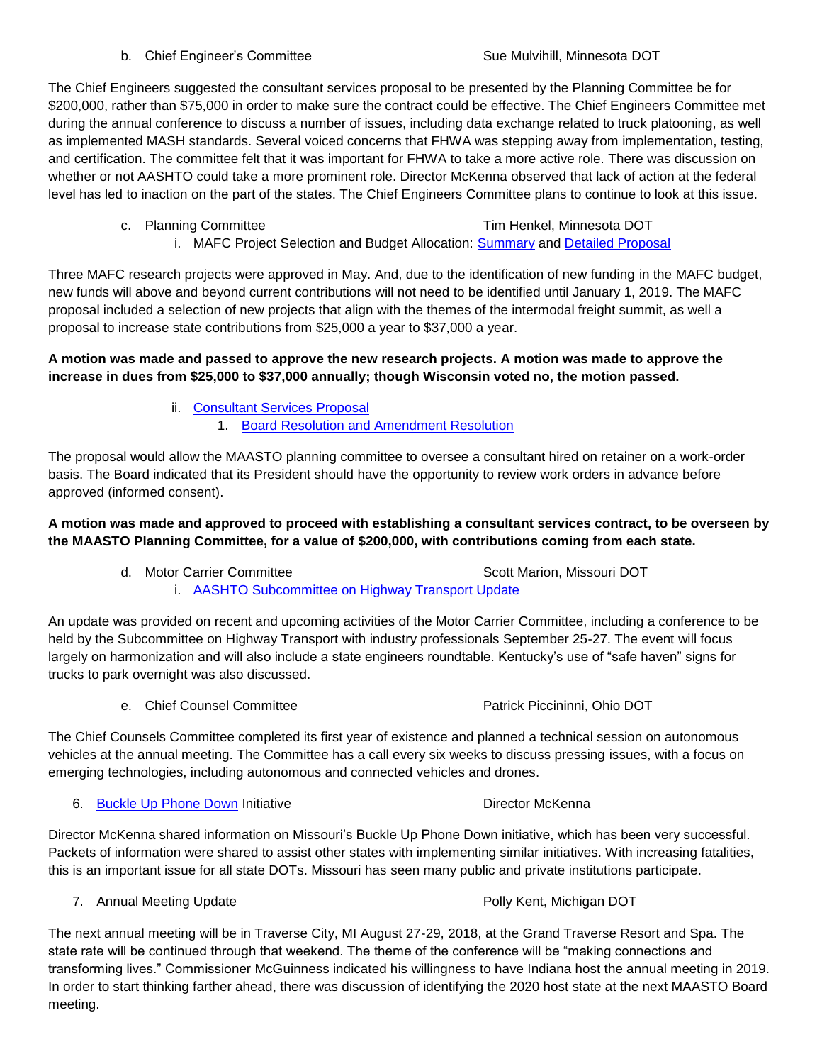### b. Chief Engineer's Committee Sue Sue Mulvihill, Minnesota DOT

The Chief Engineers suggested the consultant services proposal to be presented by the Planning Committee be for \$200,000, rather than \$75,000 in order to make sure the contract could be effective. The Chief Engineers Committee met during the annual conference to discuss a number of issues, including data exchange related to truck platooning, as well as implemented MASH standards. Several voiced concerns that FHWA was stepping away from implementation, testing, and certification. The committee felt that it was important for FHWA to take a more active role. There was discussion on whether or not AASHTO could take a more prominent role. Director McKenna observed that lack of action at the federal level has led to inaction on the part of the states. The Chief Engineers Committee plans to continue to look at this issue.

## c. Planning Committee Tim Henkel, Minnesota DOT

i. MAFC Project Selection and Budget Allocation: **Summary and [Detailed Proposal](http://maasto.net/documents/MAFCProjectSelectionandBudgetAllocation.pdf)** 

Three MAFC research projects were approved in May. And, due to the identification of new funding in the MAFC budget, new funds will above and beyond current contributions will not need to be identified until January 1, 2019. The MAFC proposal included a selection of new projects that align with the themes of the intermodal freight summit, as well a proposal to increase state contributions from \$25,000 a year to \$37,000 a year.

## **A motion was made and passed to approve the new research projects. A motion was made to approve the increase in dues from \$25,000 to \$37,000 annually; though Wisconsin voted no, the motion passed.**

- ii. [Consultant Services Proposal](http://maasto.net/documents/Consultant-Services-Proposal.pdf)
	- 1. [Board Resolution and Amendment Resolution](http://maasto.net/documents/Board-Resolution-and-Amendment-Resolution.pdf)

The proposal would allow the MAASTO planning committee to oversee a consultant hired on retainer on a work-order basis. The Board indicated that its President should have the opportunity to review work orders in advance before approved (informed consent).

# **A motion was made and approved to proceed with establishing a consultant services contract, to be overseen by the MAASTO Planning Committee, for a value of \$200,000, with contributions coming from each state.**

d. Motor Carrier Committee Scott Marion, Missouri DOT i. [AASHTO Subcommittee on Highway Transport Update](http://maasto.net/documents/SCOHT-Update-June.pdf)

An update was provided on recent and upcoming activities of the Motor Carrier Committee, including a conference to be held by the Subcommittee on Highway Transport with industry professionals September 25-27. The event will focus largely on harmonization and will also include a state engineers roundtable. Kentucky's use of "safe haven" signs for trucks to park overnight was also discussed.

e. Chief Counsel Committee **Patrick Piccininni**, Ohio DOT

The Chief Counsels Committee completed its first year of existence and planned a technical session on autonomous vehicles at the annual meeting. The Committee has a call every six weeks to discuss pressing issues, with a focus on emerging technologies, including autonomous and connected vehicles and drones.

6. [Buckle Up Phone Down](http://www.modot.org/BuckleUpPhoneDown/) Initiative Communication Control of Director McKenna

Director McKenna shared information on Missouri's Buckle Up Phone Down initiative, which has been very successful. Packets of information were shared to assist other states with implementing similar initiatives. With increasing fatalities, this is an important issue for all state DOTs. Missouri has seen many public and private institutions participate.

7. Annual Meeting Update **Polly Accord Polly Kent, Michigan DOT** 

The next annual meeting will be in Traverse City, MI August 27-29, 2018, at the Grand Traverse Resort and Spa. The state rate will be continued through that weekend. The theme of the conference will be "making connections and transforming lives." Commissioner McGuinness indicated his willingness to have Indiana host the annual meeting in 2019. In order to start thinking farther ahead, there was discussion of identifying the 2020 host state at the next MAASTO Board meeting.